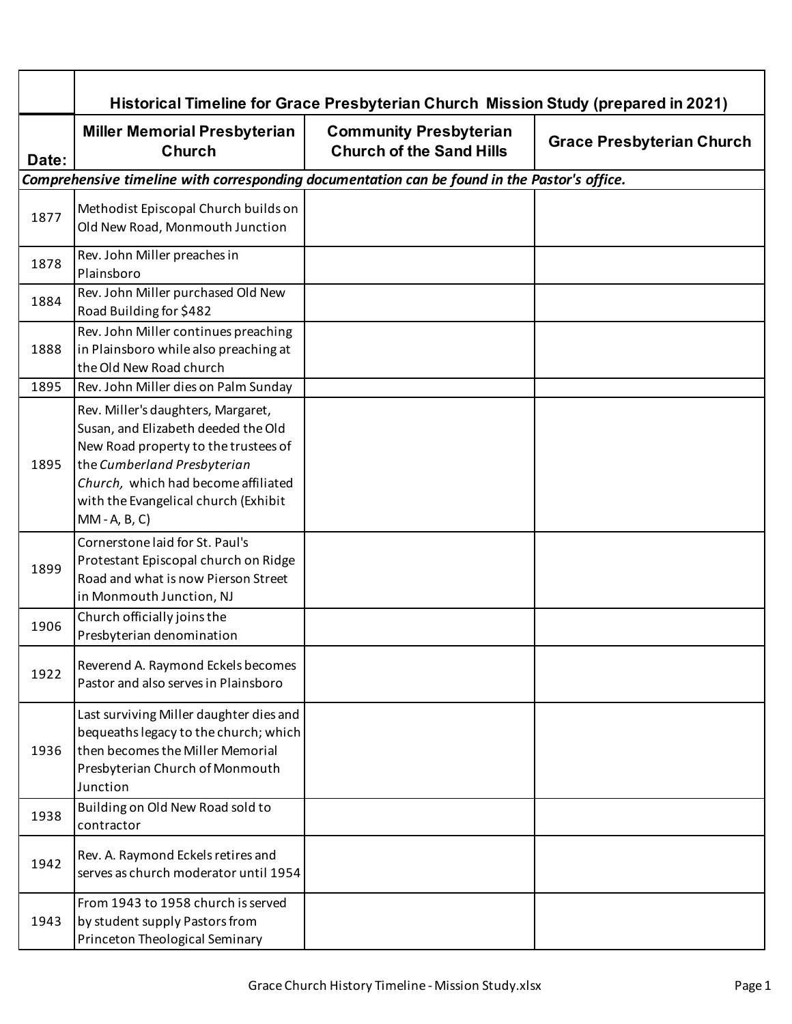|       | Historical Timeline for Grace Presbyterian Church Mission Study (prepared in 2021)                                                                                                                                                                 |                                                                  |                                  |
|-------|----------------------------------------------------------------------------------------------------------------------------------------------------------------------------------------------------------------------------------------------------|------------------------------------------------------------------|----------------------------------|
| Date: | <b>Miller Memorial Presbyterian</b><br><b>Church</b>                                                                                                                                                                                               | <b>Community Presbyterian</b><br><b>Church of the Sand Hills</b> | <b>Grace Presbyterian Church</b> |
|       | Comprehensive timeline with corresponding documentation can be found in the Pastor's office.                                                                                                                                                       |                                                                  |                                  |
| 1877  | Methodist Episcopal Church builds on<br>Old New Road, Monmouth Junction                                                                                                                                                                            |                                                                  |                                  |
| 1878  | Rev. John Miller preaches in<br>Plainsboro                                                                                                                                                                                                         |                                                                  |                                  |
| 1884  | Rev. John Miller purchased Old New<br>Road Building for \$482                                                                                                                                                                                      |                                                                  |                                  |
| 1888  | Rev. John Miller continues preaching<br>in Plainsboro while also preaching at<br>the Old New Road church                                                                                                                                           |                                                                  |                                  |
| 1895  | Rev. John Miller dies on Palm Sunday                                                                                                                                                                                                               |                                                                  |                                  |
| 1895  | Rev. Miller's daughters, Margaret,<br>Susan, and Elizabeth deeded the Old<br>New Road property to the trustees of<br>the Cumberland Presbyterian<br>Church, which had become affiliated<br>with the Evangelical church (Exhibit<br>$MM - A, B, C)$ |                                                                  |                                  |
| 1899  | Cornerstone laid for St. Paul's<br>Protestant Episcopal church on Ridge<br>Road and what is now Pierson Street<br>in Monmouth Junction, NJ                                                                                                         |                                                                  |                                  |
| 1906  | Church officially joins the<br>Presbyterian denomination                                                                                                                                                                                           |                                                                  |                                  |
| 1922  | Reverend A. Raymond Eckels becomes<br>Pastor and also serves in Plainsboro                                                                                                                                                                         |                                                                  |                                  |
| 1936  | Last surviving Miller daughter dies and<br>bequeaths legacy to the church; which<br>then becomes the Miller Memorial<br>Presbyterian Church of Monmouth<br>Junction                                                                                |                                                                  |                                  |
| 1938  | Building on Old New Road sold to<br>contractor                                                                                                                                                                                                     |                                                                  |                                  |
| 1942  | Rev. A. Raymond Eckels retires and<br>serves as church moderator until 1954                                                                                                                                                                        |                                                                  |                                  |
| 1943  | From 1943 to 1958 church is served<br>by student supply Pastors from<br>Princeton Theological Seminary                                                                                                                                             |                                                                  |                                  |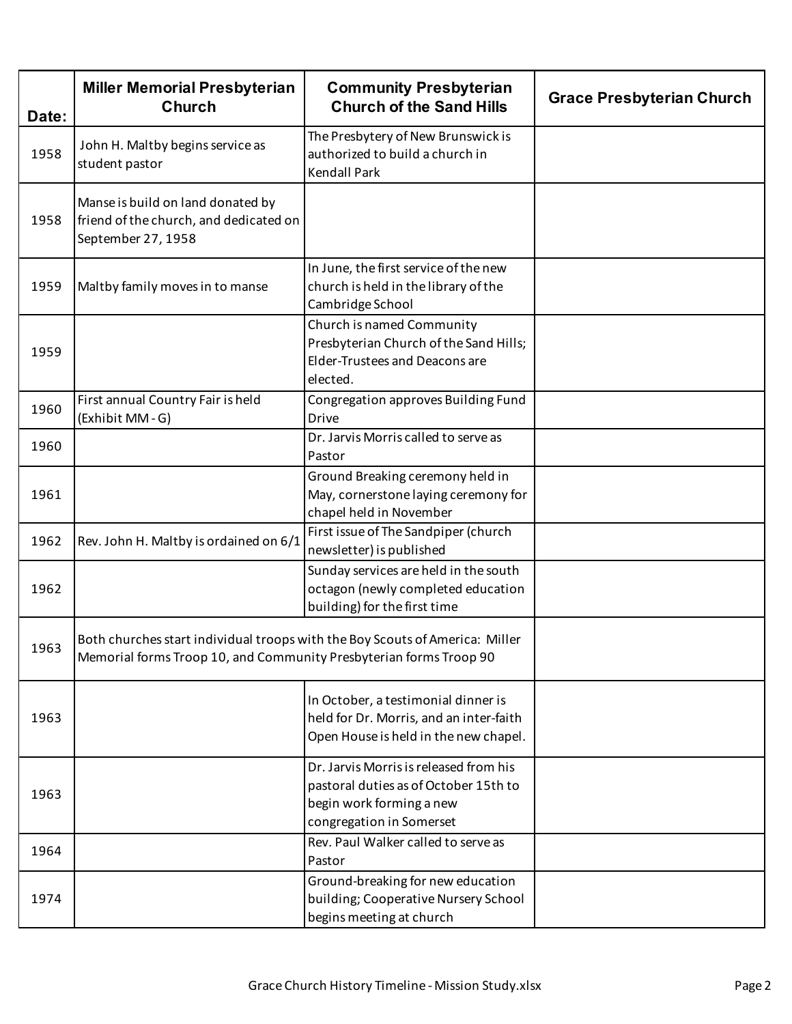| Date: | <b>Miller Memorial Presbyterian</b><br><b>Church</b>                                                                                               | <b>Community Presbyterian</b><br><b>Church of the Sand Hills</b>                                                                        | <b>Grace Presbyterian Church</b> |
|-------|----------------------------------------------------------------------------------------------------------------------------------------------------|-----------------------------------------------------------------------------------------------------------------------------------------|----------------------------------|
| 1958  | John H. Maltby begins service as<br>student pastor                                                                                                 | The Presbytery of New Brunswick is<br>authorized to build a church in<br><b>Kendall Park</b>                                            |                                  |
| 1958  | Manse is build on land donated by<br>friend of the church, and dedicated on<br>September 27, 1958                                                  |                                                                                                                                         |                                  |
| 1959  | Maltby family moves in to manse                                                                                                                    | In June, the first service of the new<br>church is held in the library of the<br>Cambridge School                                       |                                  |
| 1959  |                                                                                                                                                    | Church is named Community<br>Presbyterian Church of the Sand Hills;<br>Elder-Trustees and Deacons are<br>elected.                       |                                  |
| 1960  | First annual Country Fair is held<br>(Exhibit MM-G)                                                                                                | Congregation approves Building Fund<br><b>Drive</b>                                                                                     |                                  |
| 1960  |                                                                                                                                                    | Dr. Jarvis Morris called to serve as<br>Pastor                                                                                          |                                  |
| 1961  |                                                                                                                                                    | Ground Breaking ceremony held in<br>May, cornerstone laying ceremony for<br>chapel held in November                                     |                                  |
| 1962  | Rev. John H. Maltby is ordained on 6/1                                                                                                             | First issue of The Sandpiper (church<br>newsletter) is published                                                                        |                                  |
| 1962  |                                                                                                                                                    | Sunday services are held in the south<br>octagon (newly completed education<br>building) for the first time                             |                                  |
| 1963  | Both churches start individual troops with the Boy Scouts of America: Miller<br>Memorial forms Troop 10, and Community Presbyterian forms Troop 90 |                                                                                                                                         |                                  |
| 1963  |                                                                                                                                                    | In October, a testimonial dinner is<br>held for Dr. Morris, and an inter-faith<br>Open House is held in the new chapel.                 |                                  |
| 1963  |                                                                                                                                                    | Dr. Jarvis Morris is released from his<br>pastoral duties as of October 15th to<br>begin work forming a new<br>congregation in Somerset |                                  |
| 1964  |                                                                                                                                                    | Rev. Paul Walker called to serve as<br>Pastor                                                                                           |                                  |
| 1974  |                                                                                                                                                    | Ground-breaking for new education<br>building; Cooperative Nursery School<br>begins meeting at church                                   |                                  |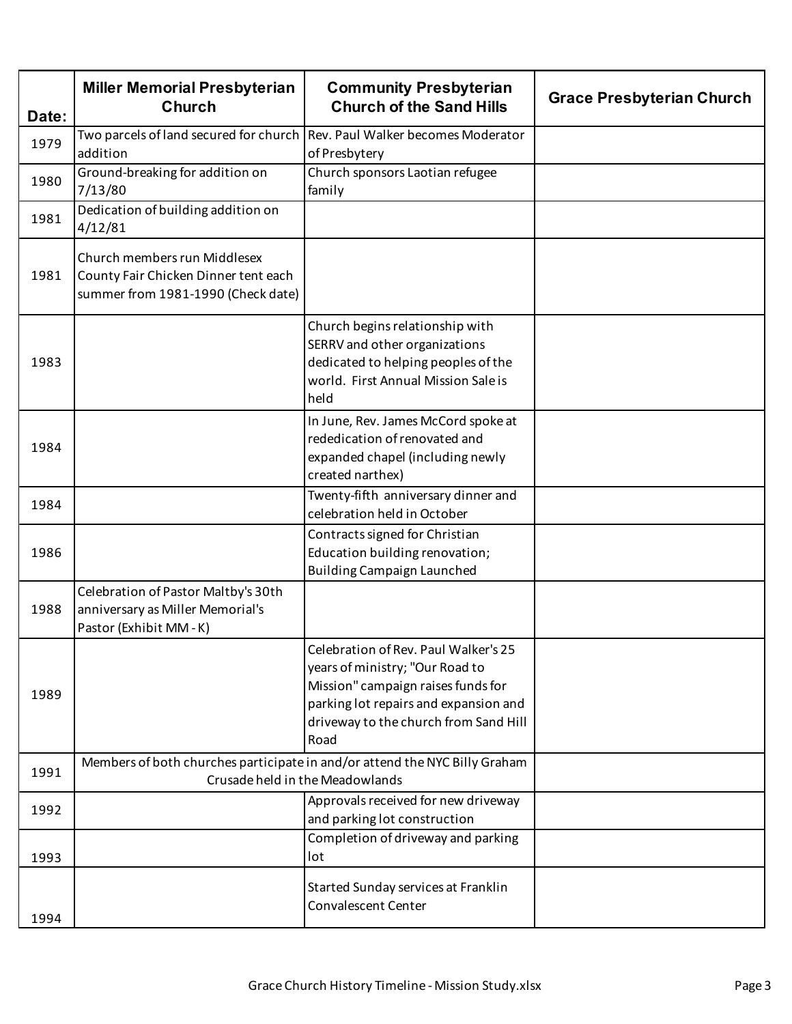| Date: | <b>Miller Memorial Presbyterian</b><br><b>Church</b>                                                       | <b>Community Presbyterian</b><br><b>Church of the Sand Hills</b>                                                                                                                                        | <b>Grace Presbyterian Church</b> |
|-------|------------------------------------------------------------------------------------------------------------|---------------------------------------------------------------------------------------------------------------------------------------------------------------------------------------------------------|----------------------------------|
| 1979  | Two parcels of land secured for church<br>addition                                                         | Rev. Paul Walker becomes Moderator<br>of Presbytery                                                                                                                                                     |                                  |
| 1980  | Ground-breaking for addition on<br>7/13/80                                                                 | Church sponsors Laotian refugee<br>family                                                                                                                                                               |                                  |
| 1981  | Dedication of building addition on<br>4/12/81                                                              |                                                                                                                                                                                                         |                                  |
| 1981  | Church members run Middlesex<br>County Fair Chicken Dinner tent each<br>summer from 1981-1990 (Check date) |                                                                                                                                                                                                         |                                  |
| 1983  |                                                                                                            | Church begins relationship with<br>SERRV and other organizations<br>dedicated to helping peoples of the<br>world. First Annual Mission Sale is<br>held                                                  |                                  |
| 1984  |                                                                                                            | In June, Rev. James McCord spoke at<br>rededication of renovated and<br>expanded chapel (including newly<br>created narthex)                                                                            |                                  |
| 1984  |                                                                                                            | Twenty-fifth anniversary dinner and<br>celebration held in October                                                                                                                                      |                                  |
| 1986  |                                                                                                            | Contracts signed for Christian<br>Education building renovation;<br><b>Building Campaign Launched</b>                                                                                                   |                                  |
| 1988  | Celebration of Pastor Maltby's 30th<br>anniversary as Miller Memorial's<br>Pastor (Exhibit MM-K)           |                                                                                                                                                                                                         |                                  |
| 1989  |                                                                                                            | Celebration of Rev. Paul Walker's 25<br>years of ministry; "Our Road to<br>Mission" campaign raises funds for<br>parking lot repairs and expansion and<br>driveway to the church from Sand Hill<br>Road |                                  |
| 1991  |                                                                                                            | Members of both churches participate in and/or attend the NYC Billy Graham<br>Crusade held in the Meadowlands                                                                                           |                                  |
| 1992  |                                                                                                            | Approvals received for new driveway<br>and parking lot construction                                                                                                                                     |                                  |
| 1993  |                                                                                                            | Completion of driveway and parking<br>lot                                                                                                                                                               |                                  |
| 1994  |                                                                                                            | Started Sunday services at Franklin<br><b>Convalescent Center</b>                                                                                                                                       |                                  |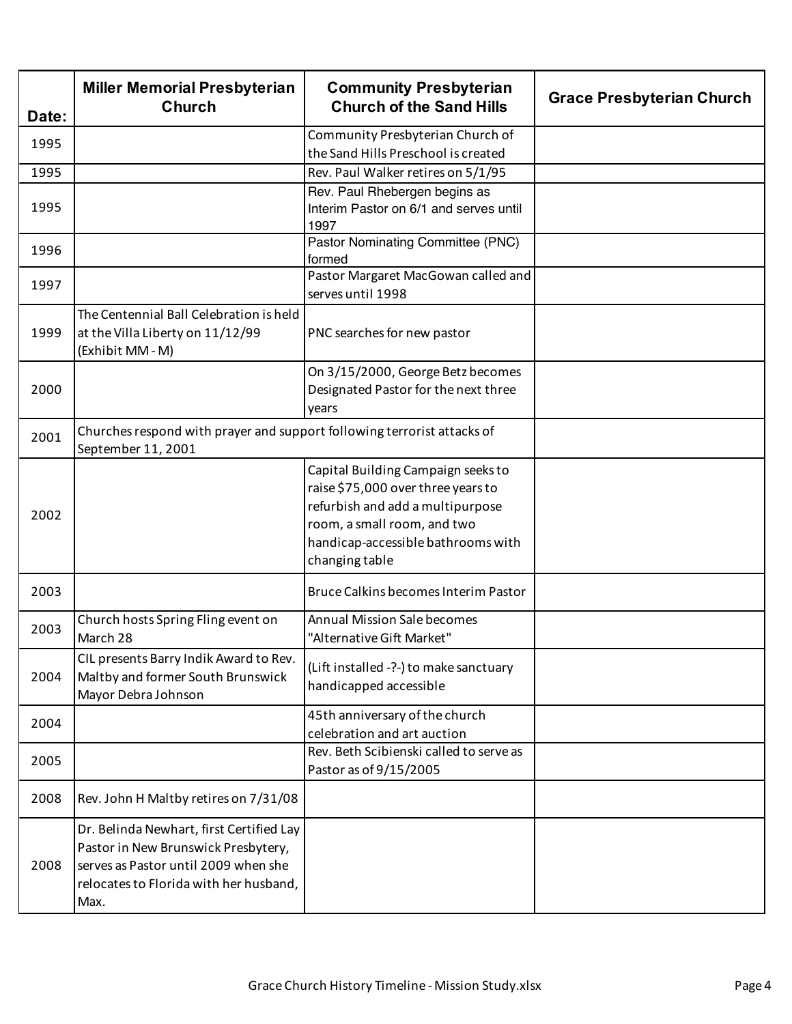| Date: | <b>Miller Memorial Presbyterian</b><br><b>Church</b>                                                                                                                      | <b>Community Presbyterian</b><br><b>Church of the Sand Hills</b>                                                                                                                                    | <b>Grace Presbyterian Church</b> |
|-------|---------------------------------------------------------------------------------------------------------------------------------------------------------------------------|-----------------------------------------------------------------------------------------------------------------------------------------------------------------------------------------------------|----------------------------------|
| 1995  |                                                                                                                                                                           | Community Presbyterian Church of<br>the Sand Hills Preschool is created                                                                                                                             |                                  |
| 1995  |                                                                                                                                                                           | Rev. Paul Walker retires on 5/1/95                                                                                                                                                                  |                                  |
| 1995  |                                                                                                                                                                           | Rev. Paul Rhebergen begins as<br>Interim Pastor on 6/1 and serves until<br>1997                                                                                                                     |                                  |
| 1996  |                                                                                                                                                                           | Pastor Nominating Committee (PNC)<br>formed                                                                                                                                                         |                                  |
| 1997  |                                                                                                                                                                           | Pastor Margaret MacGowan called and<br>serves until 1998                                                                                                                                            |                                  |
| 1999  | The Centennial Ball Celebration is held<br>at the Villa Liberty on 11/12/99<br>(Exhibit MM-M)                                                                             | PNC searches for new pastor                                                                                                                                                                         |                                  |
| 2000  |                                                                                                                                                                           | On 3/15/2000, George Betz becomes<br>Designated Pastor for the next three<br>years                                                                                                                  |                                  |
| 2001  | Churches respond with prayer and support following terrorist attacks of<br>September 11, 2001                                                                             |                                                                                                                                                                                                     |                                  |
| 2002  |                                                                                                                                                                           | Capital Building Campaign seeks to<br>raise \$75,000 over three years to<br>refurbish and add a multipurpose<br>room, a small room, and two<br>handicap-accessible bathrooms with<br>changing table |                                  |
| 2003  |                                                                                                                                                                           | Bruce Calkins becomes Interim Pastor                                                                                                                                                                |                                  |
| 2003  | Church hosts Spring Fling event on<br>March 28                                                                                                                            | <b>Annual Mission Sale becomes</b><br>"Alternative Gift Market"                                                                                                                                     |                                  |
| 2004  | CIL presents Barry Indik Award to Rev.<br>Maltby and former South Brunswick<br>Mayor Debra Johnson                                                                        | (Lift installed -?-) to make sanctuary<br>handicapped accessible                                                                                                                                    |                                  |
| 2004  |                                                                                                                                                                           | 45th anniversary of the church<br>celebration and art auction                                                                                                                                       |                                  |
| 2005  |                                                                                                                                                                           | Rev. Beth Scibienski called to serve as<br>Pastor as of 9/15/2005                                                                                                                                   |                                  |
| 2008  | Rev. John H Maltby retires on 7/31/08                                                                                                                                     |                                                                                                                                                                                                     |                                  |
| 2008  | Dr. Belinda Newhart, first Certified Lay<br>Pastor in New Brunswick Presbytery,<br>serves as Pastor until 2009 when she<br>relocates to Florida with her husband,<br>Max. |                                                                                                                                                                                                     |                                  |